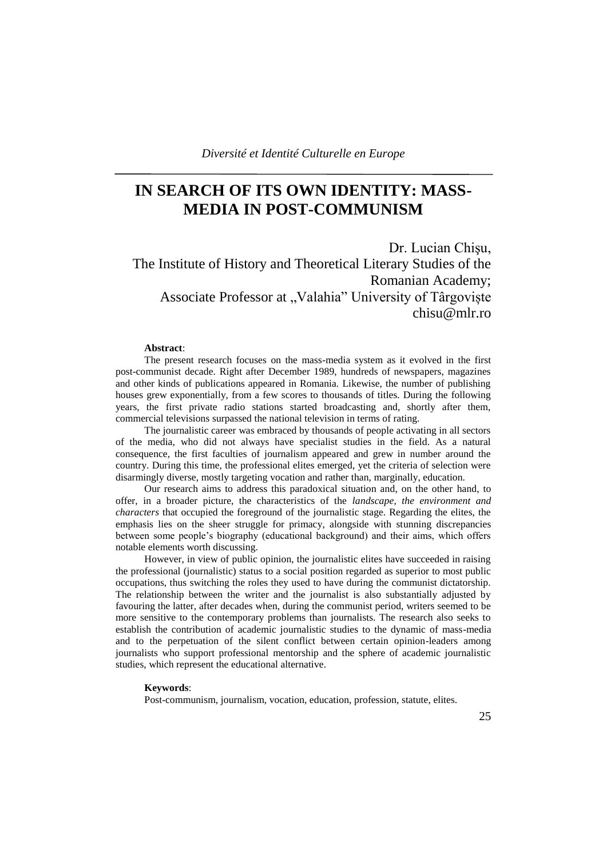# **IN SEARCH OF ITS OWN IDENTITY: MASS-MEDIA IN POST-COMMUNISM**

Dr. Lucian Chişu, The Institute of History and Theoretical Literary Studies of the Romanian Academy; Associate Professor at "Valahia" University of Târgoviște chisu@mlr.ro

#### **Abstract**:

The present research focuses on the mass-media system as it evolved in the first post-communist decade. Right after December 1989, hundreds of newspapers, magazines and other kinds of publications appeared in Romania. Likewise, the number of publishing houses grew exponentially, from a few scores to thousands of titles. During the following years, the first private radio stations started broadcasting and, shortly after them, commercial televisions surpassed the national television in terms of rating.

The journalistic career was embraced by thousands of people activating in all sectors of the media, who did not always have specialist studies in the field. As a natural consequence, the first faculties of journalism appeared and grew in number around the country. During this time, the professional elites emerged, yet the criteria of selection were disarmingly diverse, mostly targeting vocation and rather than, marginally, education.

Our research aims to address this paradoxical situation and, on the other hand, to offer, in a broader picture, the characteristics of the *landscape, the environment and characters* that occupied the foreground of the journalistic stage. Regarding the elites, the emphasis lies on the sheer struggle for primacy, alongside with stunning discrepancies between some people"s biography (educational background) and their aims, which offers notable elements worth discussing.

However, in view of public opinion, the journalistic elites have succeeded in raising the professional (journalistic) status to a social position regarded as superior to most public occupations, thus switching the roles they used to have during the communist dictatorship. The relationship between the writer and the journalist is also substantially adjusted by favouring the latter, after decades when, during the communist period, writers seemed to be more sensitive to the contemporary problems than journalists. The research also seeks to establish the contribution of academic journalistic studies to the dynamic of mass-media and to the perpetuation of the silent conflict between certain opinion-leaders among journalists who support professional mentorship and the sphere of academic journalistic studies, which represent the educational alternative.

#### **Keywords**:

Post-communism, journalism, vocation, education, profession, statute, elites.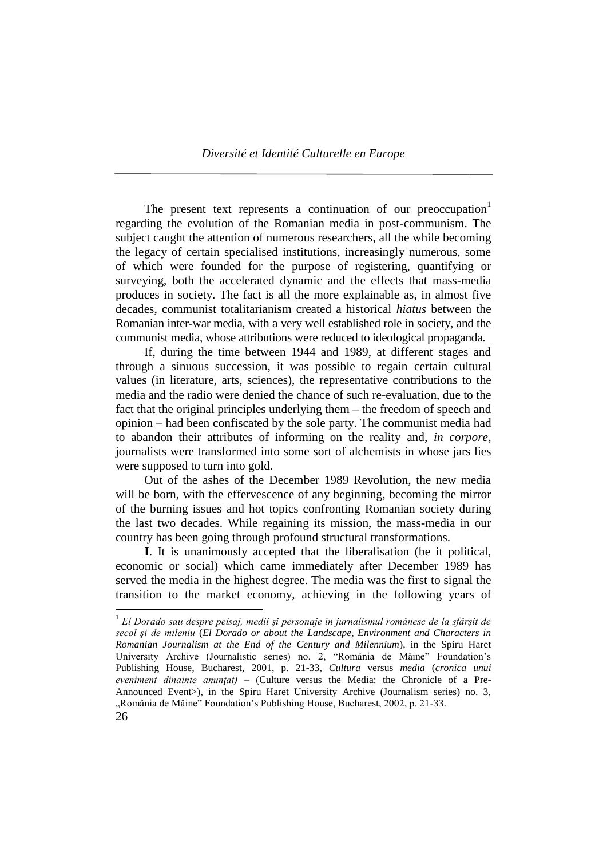The present text represents a continuation of our preoccupation<sup>1</sup> regarding the evolution of the Romanian media in post-communism. The subject caught the attention of numerous researchers, all the while becoming the legacy of certain specialised institutions, increasingly numerous, some of which were founded for the purpose of registering, quantifying or surveying, both the accelerated dynamic and the effects that mass-media produces in society. The fact is all the more explainable as, in almost five decades, communist totalitarianism created a historical *hiatus* between the Romanian inter-war media, with a very well established role in society, and the communist media, whose attributions were reduced to ideological propaganda.

If, during the time between 1944 and 1989, at different stages and through a sinuous succession, it was possible to regain certain cultural values (in literature, arts, sciences), the representative contributions to the media and the radio were denied the chance of such re-evaluation, due to the fact that the original principles underlying them – the freedom of speech and opinion – had been confiscated by the sole party. The communist media had to abandon their attributes of informing on the reality and, *in corpore*, journalists were transformed into some sort of alchemists in whose jars lies were supposed to turn into gold.

Out of the ashes of the December 1989 Revolution, the new media will be born, with the effervescence of any beginning, becoming the mirror of the burning issues and hot topics confronting Romanian society during the last two decades. While regaining its mission, the mass-media in our country has been going through profound structural transformations.

**I**. It is unanimously accepted that the liberalisation (be it political, economic or social) which came immediately after December 1989 has served the media in the highest degree. The media was the first to signal the transition to the market economy, achieving in the following years of

<sup>1</sup> *El Dorado sau despre peisaj, medii şi personaje în jurnalismul românesc de la sfârşit de secol şi de mileniu* (*El Dorado or about the Landscape, Environment and Characters in Romanian Journalism at the End of the Century and Milennium*), in the Spiru Haret University Archive (Journalistic series) no. 2, "România de Mâine" Foundation"s Publishing House, Bucharest, 2001, p. 21-33, *Cultura* versus *media* (*cronica unui eveniment dinainte anunţat) –* (Culture versus the Media: the Chronicle of a Pre-Announced Event>), in the Spiru Haret University Archive (Journalism series) no. 3, "România de Mâine" Foundation's Publishing House, Bucharest, 2002, p. 21-33.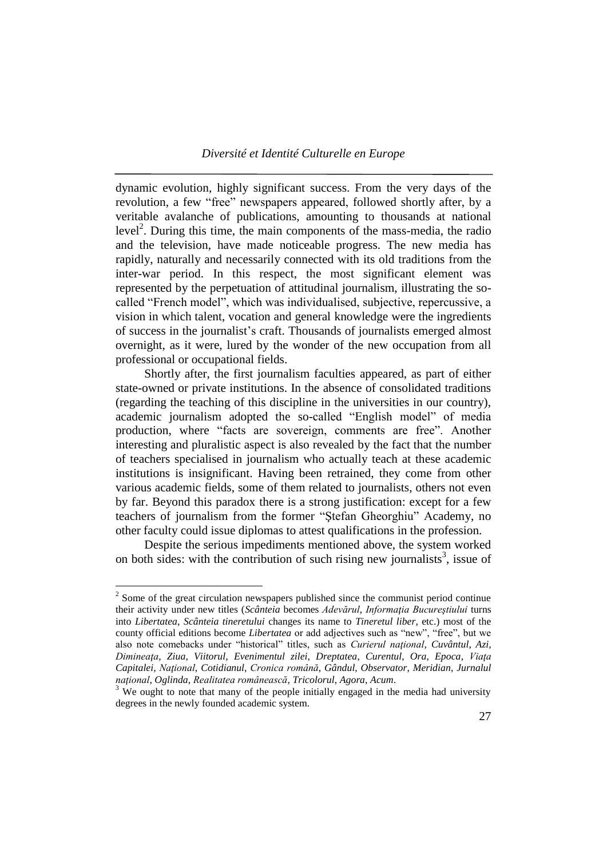dynamic evolution, highly significant success. From the very days of the revolution, a few "free" newspapers appeared, followed shortly after, by a veritable avalanche of publications, amounting to thousands at national level<sup>2</sup>. During this time, the main components of the mass-media, the radio and the television, have made noticeable progress. The new media has rapidly, naturally and necessarily connected with its old traditions from the inter-war period. In this respect, the most significant element was represented by the perpetuation of attitudinal journalism, illustrating the socalled "French model", which was individualised, subjective, repercussive, a vision in which talent, vocation and general knowledge were the ingredients of success in the journalist"s craft. Thousands of journalists emerged almost overnight, as it were, lured by the wonder of the new occupation from all professional or occupational fields.

Shortly after, the first journalism faculties appeared, as part of either state-owned or private institutions. In the absence of consolidated traditions (regarding the teaching of this discipline in the universities in our country), academic journalism adopted the so-called "English model" of media production, where "facts are sovereign, comments are free". Another interesting and pluralistic aspect is also revealed by the fact that the number of teachers specialised in journalism who actually teach at these academic institutions is insignificant. Having been retrained, they come from other various academic fields, some of them related to journalists, others not even by far. Beyond this paradox there is a strong justification: except for a few teachers of journalism from the former "Ştefan Gheorghiu" Academy, no other faculty could issue diplomas to attest qualifications in the profession.

Despite the serious impediments mentioned above, the system worked on both sides: with the contribution of such rising new journalists<sup>3</sup>, issue of

 $2^{2}$  Some of the great circulation newspapers published since the communist period continue their activity under new titles (*Scânteia* becomes *Adevărul, Informatia Bucureștiului* turns into *Libertatea*, *Scânteia tineretului* changes its name to *Tineretul liber*, etc.) most of the county official editions become *Libertatea* or add adjectives such as "new", "free", but we also note comebacks under "historical" titles, such as *Curierul naţional*, *Cuvântul*, *Azi*, *Dimineaţa*, *Ziua*, *Viitorul*, *Evenimentul zilei*, *Dreptatea*, *Curentul*, *Ora*, *Epoca*, *Viaţa Capitalei*, *Naţional*, *Cotidianul*, *Cronica română*, *Gândul*, *Observator*, *Meridian*, *Jurnalul naţional*, *Oglinda*, *Realitatea românească*, *Tricolorul*, *Agora*, *Acum*.

 $3$  We ought to note that many of the people initially engaged in the media had university degrees in the newly founded academic system.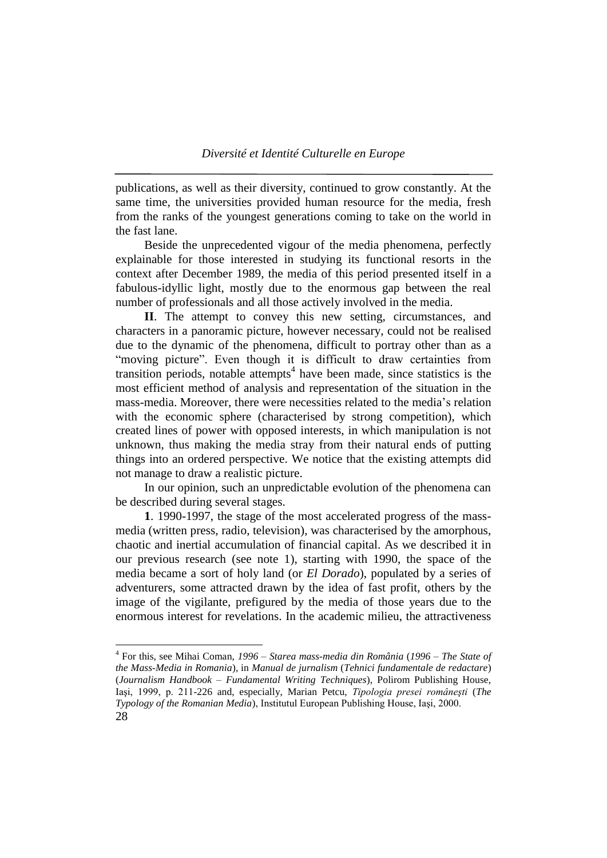publications, as well as their diversity, continued to grow constantly. At the same time, the universities provided human resource for the media, fresh from the ranks of the youngest generations coming to take on the world in the fast lane.

Beside the unprecedented vigour of the media phenomena, perfectly explainable for those interested in studying its functional resorts in the context after December 1989, the media of this period presented itself in a fabulous-idyllic light, mostly due to the enormous gap between the real number of professionals and all those actively involved in the media.

**II**. The attempt to convey this new setting, circumstances, and characters in a panoramic picture, however necessary, could not be realised due to the dynamic of the phenomena, difficult to portray other than as a "moving picture". Even though it is difficult to draw certainties from transition periods, notable attempts<sup>4</sup> have been made, since statistics is the most efficient method of analysis and representation of the situation in the mass-media. Moreover, there were necessities related to the media"s relation with the economic sphere (characterised by strong competition), which created lines of power with opposed interests, in which manipulation is not unknown, thus making the media stray from their natural ends of putting things into an ordered perspective. We notice that the existing attempts did not manage to draw a realistic picture.

In our opinion, such an unpredictable evolution of the phenomena can be described during several stages.

**1**. 1990-1997, the stage of the most accelerated progress of the massmedia (written press, radio, television), was characterised by the amorphous, chaotic and inertial accumulation of financial capital. As we described it in our previous research (see note 1), starting with 1990, the space of the media became a sort of holy land (or *El Dorado*), populated by a series of adventurers, some attracted drawn by the idea of fast profit, others by the image of the vigilante, prefigured by the media of those years due to the enormous interest for revelations. In the academic milieu, the attractiveness

<sup>28</sup> 4 For this, see Mihai Coman, *1996 – Starea mass-media din România* (*1996 – The State of the Mass-Media in Romania*), in *Manual de jurnalism* (*Tehnici fundamentale de redactare*) (*Journalism Handbook – Fundamental Writing Techniques*), Polirom Publishing House, Iaşi, 1999, p. 211-226 and, especially, Marian Petcu, *Tipologia presei româneşti* (*The Typology of the Romanian Media*), Institutul European Publishing House, Iaşi, 2000.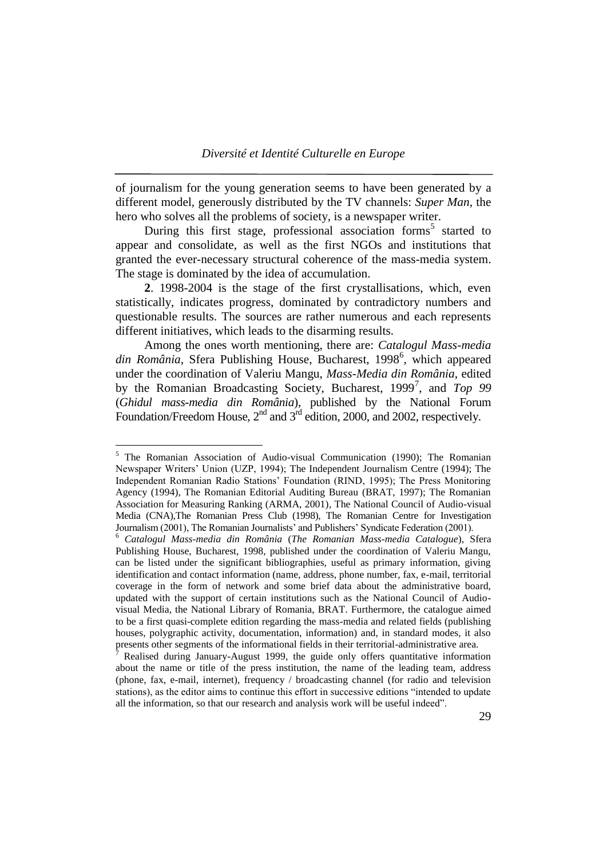of journalism for the young generation seems to have been generated by a different model, generously distributed by the TV channels: *Super Man*, the hero who solves all the problems of society, is a newspaper writer.

During this first stage, professional association forms<sup>5</sup> started to appear and consolidate, as well as the first NGOs and institutions that granted the ever-necessary structural coherence of the mass-media system. The stage is dominated by the idea of accumulation.

**2**. 1998-2004 is the stage of the first crystallisations, which, even statistically, indicates progress, dominated by contradictory numbers and questionable results. The sources are rather numerous and each represents different initiatives, which leads to the disarming results.

Among the ones worth mentioning, there are: *Catalogul Mass-media*  din România, Sfera Publishing House, Bucharest, 1998<sup>6</sup>, which appeared under the coordination of Valeriu Mangu, *Mass-Media din România*, edited by the Romanian Broadcasting Society, Bucharest, 1999<sup>7</sup>, and *Top 99* (*Ghidul mass-media din România*), published by the National Forum Foundation/Freedom House, 2<sup>nd</sup> and 3<sup>rd</sup> edition, 2000, and 2002, respectively.

<sup>5</sup> The Romanian Association of Audio-visual Communication (1990); The Romanian Newspaper Writers" Union (UZP, 1994); The Independent Journalism Centre (1994); The Independent Romanian Radio Stations" Foundation (RIND, 1995); The Press Monitoring Agency (1994), The Romanian Editorial Auditing Bureau (BRAT, 1997); The Romanian Association for Measuring Ranking (ARMA, 2001), The National Council of Audio-visual Media (CNA),The Romanian Press Club (1998), The Romanian Centre for Investigation Journalism (2001), The Romanian Journalists' and Publishers' Syndicate Federation (2001).

<sup>6</sup> *Catalogul Mass-media din România* (*The Romanian Mass-media Catalogue*), Sfera Publishing House, Bucharest, 1998, published under the coordination of Valeriu Mangu, can be listed under the significant bibliographies, useful as primary information, giving identification and contact information (name, address, phone number, fax, e-mail, territorial coverage in the form of network and some brief data about the administrative board, updated with the support of certain institutions such as the National Council of Audiovisual Media, the National Library of Romania, BRAT. Furthermore, the catalogue aimed to be a first quasi-complete edition regarding the mass-media and related fields (publishing houses, polygraphic activity, documentation, information) and, in standard modes, it also presents other segments of the informational fields in their territorial-administrative area.

<sup>7</sup> Realised during January-August 1999, the guide only offers quantitative information about the name or title of the press institution, the name of the leading team, address (phone, fax, e-mail, internet), frequency / broadcasting channel (for radio and television stations), as the editor aims to continue this effort in successive editions "intended to update all the information, so that our research and analysis work will be useful indeed".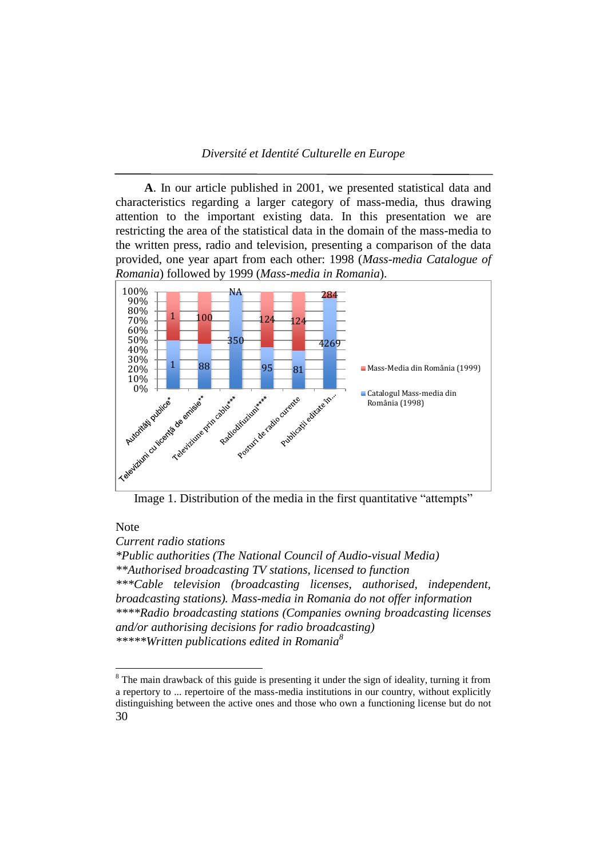**A**. In our article published in 2001, we presented statistical data and characteristics regarding a larger category of mass-media, thus drawing attention to the important existing data. In this presentation we are restricting the area of the statistical data in the domain of the mass-media to the written press, radio and television, presenting a comparison of the data provided, one year apart from each other: 1998 (*Mass-media Catalogue of Romania*) followed by 1999 (*Mass-media in Romania*).



Image 1. Distribution of the media in the first quantitative "attempts"

## Note

 $\overline{a}$ 

*Current radio stations*

*\*Public authorities (The National Council of Audio-visual Media) \*\*Authorised broadcasting TV stations, licensed to function \*\*\*Cable television (broadcasting licenses, authorised, independent, broadcasting stations). Mass-media in Romania do not offer information \*\*\*\*Radio broadcasting stations (Companies owning broadcasting licenses and/or authorising decisions for radio broadcasting) \*\*\*\*\*Written publications edited in Romania<sup>8</sup>*

<sup>30</sup>  $8$  The main drawback of this guide is presenting it under the sign of ideality, turning it from a repertory to ... repertoire of the mass-media institutions in our country, without explicitly distinguishing between the active ones and those who own a functioning license but do not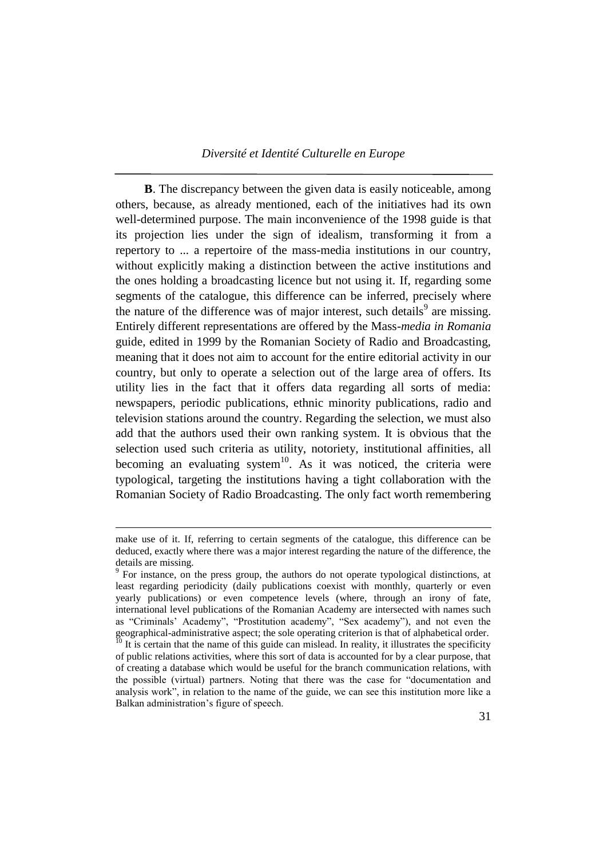**B**. The discrepancy between the given data is easily noticeable, among others, because, as already mentioned, each of the initiatives had its own well-determined purpose. The main inconvenience of the 1998 guide is that its projection lies under the sign of idealism, transforming it from a repertory to ... a repertoire of the mass-media institutions in our country, without explicitly making a distinction between the active institutions and the ones holding a broadcasting licence but not using it. If, regarding some segments of the catalogue, this difference can be inferred, precisely where the nature of the difference was of major interest, such details<sup>9</sup> are missing. Entirely different representations are offered by the Mass*-media in Romania* guide, edited in 1999 by the Romanian Society of Radio and Broadcasting, meaning that it does not aim to account for the entire editorial activity in our country, but only to operate a selection out of the large area of offers. Its utility lies in the fact that it offers data regarding all sorts of media: newspapers, periodic publications, ethnic minority publications, radio and television stations around the country. Regarding the selection, we must also add that the authors used their own ranking system. It is obvious that the selection used such criteria as utility, notoriety, institutional affinities, all becoming an evaluating system $10$ . As it was noticed, the criteria were typological, targeting the institutions having a tight collaboration with the Romanian Society of Radio Broadcasting. The only fact worth remembering

make use of it. If, referring to certain segments of the catalogue, this difference can be deduced, exactly where there was a major interest regarding the nature of the difference, the details are missing.

<sup>&</sup>lt;sup>9</sup> For instance, on the press group, the authors do not operate typological distinctions, at least regarding periodicity (daily publications coexist with monthly, quarterly or even yearly publications) or even competence levels (where, through an irony of fate, international level publications of the Romanian Academy are intersected with names such as "Criminals" Academy", "Prostitution academy", "Sex academy"), and not even the geographical-administrative aspect; the sole operating criterion is that of alphabetical order.

 $^{10}$  It is certain that the name of this guide can mislead. In reality, it illustrates the specificity of public relations activities, where this sort of data is accounted for by a clear purpose, that of creating a database which would be useful for the branch communication relations, with the possible (virtual) partners. Noting that there was the case for "documentation and analysis work", in relation to the name of the guide, we can see this institution more like a Balkan administration"s figure of speech.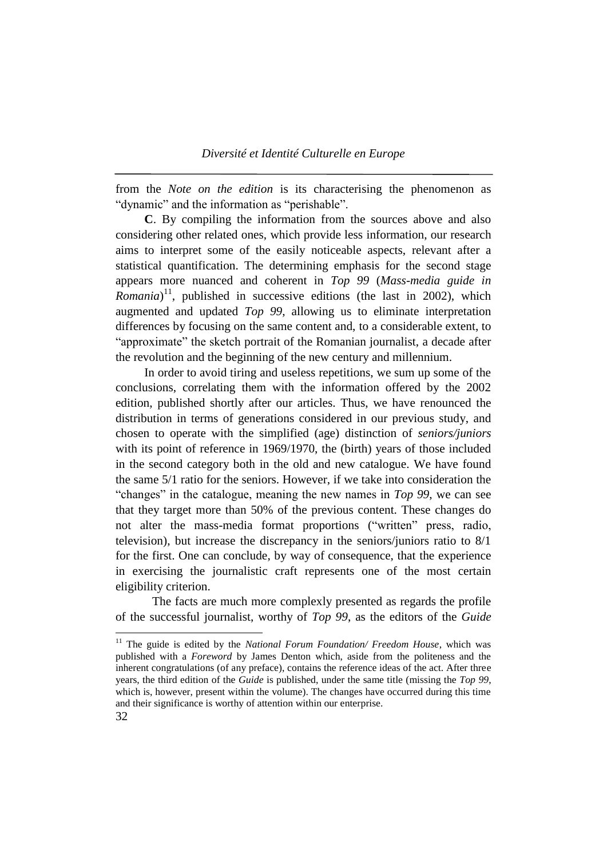from the *Note on the edition* is its characterising the phenomenon as "dynamic" and the information as "perishable".

**C**. By compiling the information from the sources above and also considering other related ones, which provide less information, our research aims to interpret some of the easily noticeable aspects, relevant after a statistical quantification. The determining emphasis for the second stage appears more nuanced and coherent in *Top 99* (*Mass-media guide in*  Romania)<sup>11</sup>, published in successive editions (the last in 2002), which augmented and updated *Top 99*, allowing us to eliminate interpretation differences by focusing on the same content and, to a considerable extent, to "approximate" the sketch portrait of the Romanian journalist, a decade after the revolution and the beginning of the new century and millennium.

In order to avoid tiring and useless repetitions, we sum up some of the conclusions, correlating them with the information offered by the 2002 edition, published shortly after our articles. Thus, we have renounced the distribution in terms of generations considered in our previous study, and chosen to operate with the simplified (age) distinction of *seniors/juniors* with its point of reference in 1969/1970, the (birth) years of those included in the second category both in the old and new catalogue. We have found the same 5/1 ratio for the seniors. However, if we take into consideration the "changes" in the catalogue, meaning the new names in *Top 99*, we can see that they target more than 50% of the previous content. These changes do not alter the mass-media format proportions ("written" press, radio, television), but increase the discrepancy in the seniors/juniors ratio to 8/1 for the first. One can conclude, by way of consequence, that the experience in exercising the journalistic craft represents one of the most certain eligibility criterion.

The facts are much more complexly presented as regards the profile of the successful journalist, worthy of *Top 99*, as the editors of the *Guide*

<sup>32</sup> <sup>11</sup> The guide is edited by the *National Forum Foundation/ Freedom House*, which was published with a *Foreword* by James Denton which, aside from the politeness and the inherent congratulations (of any preface), contains the reference ideas of the act. After three years, the third edition of the *Guide* is published, under the same title (missing the *Top 99*, which is, however, present within the volume). The changes have occurred during this time and their significance is worthy of attention within our enterprise.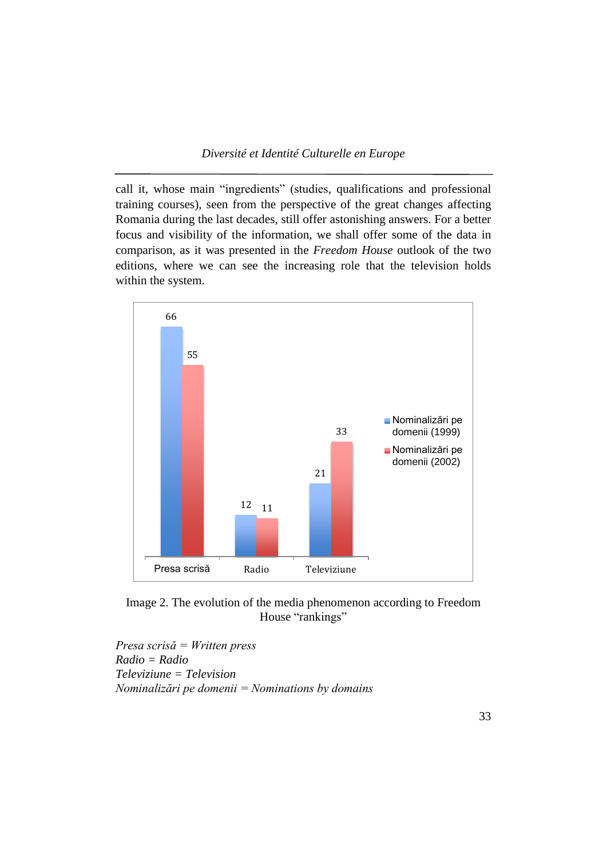call it, whose main "ingredients" (studies, qualifications and professional training courses), seen from the perspective of the great changes affecting Romania during the last decades, still offer astonishing answers. For a better focus and visibility of the information, we shall offer some of the data in comparison, as it was presented in the *Freedom House* outlook of the two editions, where we can see the increasing role that the television holds within the system.



Image 2. The evolution of the media phenomenon according to Freedom House "rankings"

*Presa scrisă = Written press Radio = Radio Televiziune = Television Nominalizări pe domenii = Nominations by domains*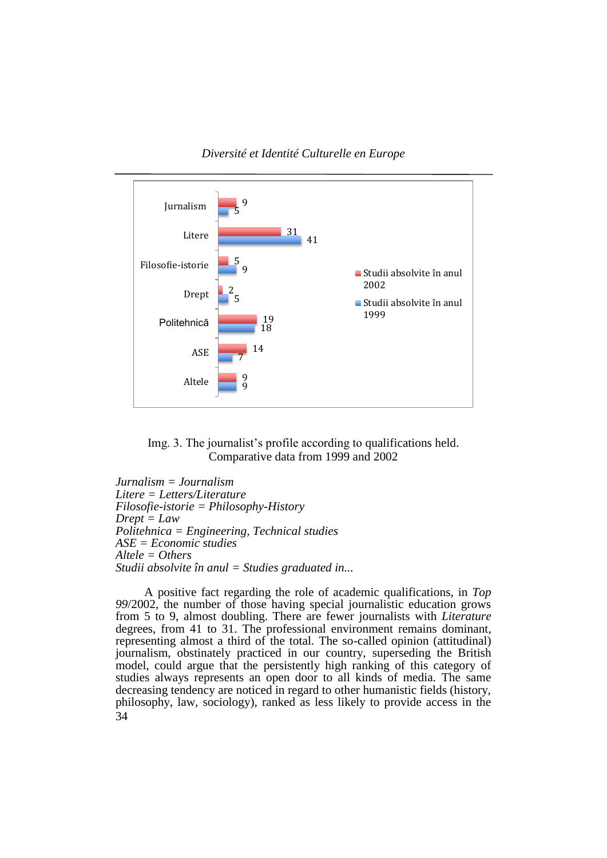

*Diversité et Identité Culturelle en Europe*



*Jurnalism = Journalism Litere = Letters/Literature Filosofie-istorie = Philosophy-History Drept = Law Politehnica = Engineering, Technical studies ASE = Economic studies Altele = Others Studii absolvite în anul = Studies graduated in...*

34 A positive fact regarding the role of academic qualifications, in *Top 99*/2002, the number of those having special journalistic education grows from 5 to 9, almost doubling. There are fewer journalists with *Literature* degrees, from 41 to 31. The professional environment remains dominant, representing almost a third of the total. The so-called opinion (attitudinal) journalism, obstinately practiced in our country, superseding the British model, could argue that the persistently high ranking of this category of studies always represents an open door to all kinds of media. The same decreasing tendency are noticed in regard to other humanistic fields (history, philosophy, law, sociology), ranked as less likely to provide access in the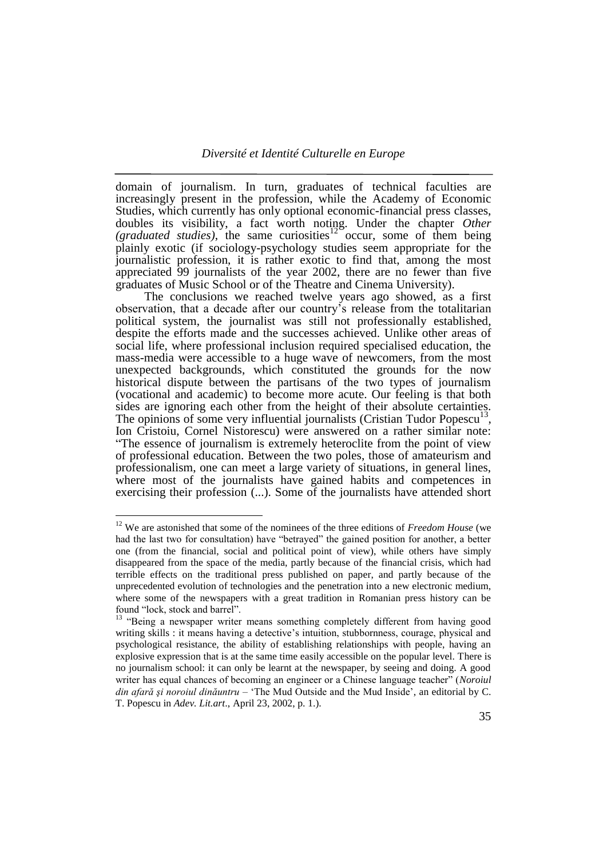domain of journalism. In turn, graduates of technical faculties are increasingly present in the profession, while the Academy of Economic Studies, which currently has only optional economic-financial press classes, doubles its visibility, a fact worth noting. Under the chapter *Other*  (graduated studies), the same curiosities<sup>12</sup> occur, some of them being plainly exotic (if sociology-psychology studies seem appropriate for the journalistic profession, it is rather exotic to find that, among the most appreciated 99 journalists of the year 2002, there are no fewer than five graduates of Music School or of the Theatre and Cinema University).

The conclusions we reached twelve years ago showed, as a first observation, that a decade after our country"s release from the totalitarian political system, the journalist was still not professionally established, despite the efforts made and the successes achieved. Unlike other areas of social life, where professional inclusion required specialised education, the mass-media were accessible to a huge wave of newcomers, from the most unexpected backgrounds, which constituted the grounds for the now historical dispute between the partisans of the two types of journalism (vocational and academic) to become more acute. Our feeling is that both sides are ignoring each other from the height of their absolute certainties. The opinions of some very influential journalists (Cristian Tudor Popescu<sup>13</sup>, Ion Cristoiu, Cornel Nistorescu) were answered on a rather similar note: "The essence of journalism is extremely heteroclite from the point of view of professional education. Between the two poles, those of amateurism and professionalism, one can meet a large variety of situations, in general lines, where most of the journalists have gained habits and competences in exercising their profession (...). Some of the journalists have attended short

<sup>&</sup>lt;sup>12</sup> We are astonished that some of the nominees of the three editions of *Freedom House* (we had the last two for consultation) have "betrayed" the gained position for another, a better one (from the financial, social and political point of view), while others have simply disappeared from the space of the media, partly because of the financial crisis, which had terrible effects on the traditional press published on paper, and partly because of the unprecedented evolution of technologies and the penetration into a new electronic medium, where some of the newspapers with a great tradition in Romanian press history can be found "lock, stock and barrel".

<sup>&</sup>lt;sup>13</sup> "Being a newspaper writer means something completely different from having good writing skills : it means having a detective's intuition, stubbornness, courage, physical and psychological resistance, the ability of establishing relationships with people, having an explosive expression that is at the same time easily accessible on the popular level. There is no journalism school: it can only be learnt at the newspaper, by seeing and doing. A good writer has equal chances of becoming an engineer or a Chinese language teacher" (*Noroiul din afară şi noroiul dinăuntru* – "The Mud Outside and the Mud Inside", an editorial by C. T. Popescu in *Adev. Lit.art*., April 23, 2002, p. 1.).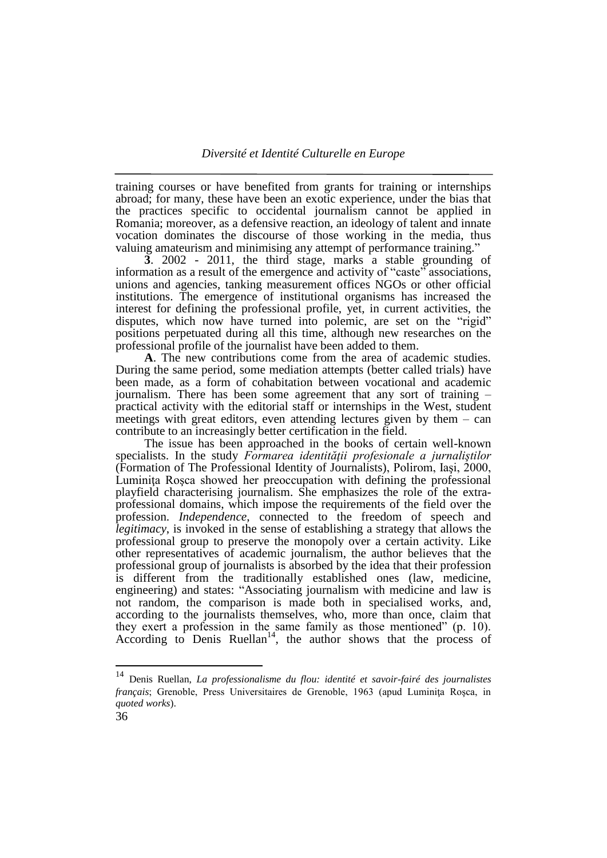training courses or have benefited from grants for training or internships abroad; for many, these have been an exotic experience, under the bias that the practices specific to occidental journalism cannot be applied in Romania; moreover, as a defensive reaction, an ideology of talent and innate vocation dominates the discourse of those working in the media, thus valuing amateurism and minimising any attempt of performance training."

**3**. 2002 - 2011, the third stage, marks a stable grounding of information as a result of the emergence and activity of "caste" associations, unions and agencies, tanking measurement offices NGOs or other official institutions. The emergence of institutional organisms has increased the interest for defining the professional profile, yet, in current activities, the disputes, which now have turned into polemic, are set on the "rigid" positions perpetuated during all this time, although new researches on the professional profile of the journalist have been added to them.

**A**. The new contributions come from the area of academic studies. During the same period, some mediation attempts (better called trials) have been made, as a form of cohabitation between vocational and academic journalism. There has been some agreement that any sort of training – practical activity with the editorial staff or internships in the West, student meetings with great editors, even attending lectures given by them – can contribute to an increasingly better certification in the field.

The issue has been approached in the books of certain well-known specialists. In the study *Formarea identităţii profesionale a jurnaliştilor*  (Formation of The Professional Identity of Journalists), Polirom, Iaşi, 2000, Luminita Rosca showed her preoccupation with defining the professional playfield characterising journalism. She emphasizes the role of the extraprofessional domains, which impose the requirements of the field over the profession. *Independence*, connected to the freedom of speech and *legitimacy*, is invoked in the sense of establishing a strategy that allows the professional group to preserve the monopoly over a certain activity. Like other representatives of academic journalism, the author believes that the professional group of journalists is absorbed by the idea that their profession is different from the traditionally established ones (law, medicine, engineering) and states: "Associating journalism with medicine and law is not random, the comparison is made both in specialised works, and, according to the journalists themselves, who, more than once, claim that they exert a profession in the same family as those mentioned" (p. 10). According to Denis Ruellan<sup>14</sup>, the author shows that the process of

 $14\,$ <sup>14</sup> Denis Ruellan, *La professionalisme du flou: identité et savoir-fairé des journalistes français*; Grenoble, Press Universitaires de Grenoble, 1963 (apud Luminița Roșca, in *quoted works*).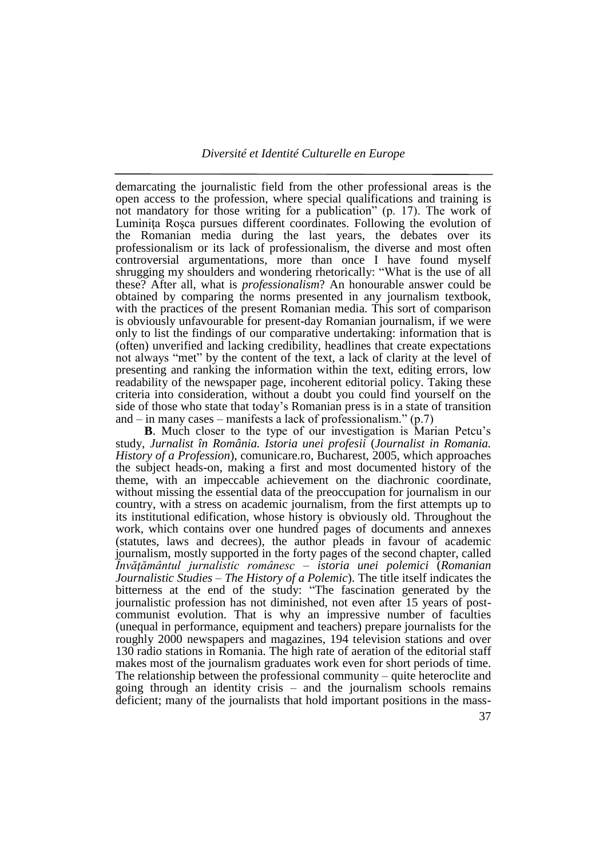demarcating the journalistic field from the other professional areas is the open access to the profession, where special qualifications and training is not mandatory for those writing for a publication" (p. 17). The work of Luminita Rosca pursues different coordinates. Following the evolution of the Romanian media during the last years, the debates over its professionalism or its lack of professionalism, the diverse and most often controversial argumentations, more than once I have found myself shrugging my shoulders and wondering rhetorically: "What is the use of all these? After all, what is *professionalism*? An honourable answer could be obtained by comparing the norms presented in any journalism textbook, with the practices of the present Romanian media. This sort of comparison is obviously unfavourable for present-day Romanian journalism, if we were only to list the findings of our comparative undertaking: information that is (often) unverified and lacking credibility, headlines that create expectations not always "met" by the content of the text, a lack of clarity at the level of presenting and ranking the information within the text, editing errors, low readability of the newspaper page, incoherent editorial policy. Taking these criteria into consideration, without a doubt you could find yourself on the side of those who state that today"s Romanian press is in a state of transition and – in many cases – manifests a lack of professionalism."  $(p.7)$ 

**B**. Much closer to the type of our investigation is Marian Petcu's study, *Jurnalist în România. Istoria unei profesii* (*Journalist in Romania. History of a Profession*), comunicare.ro, Bucharest, 2005, which approaches the subject heads-on, making a first and most documented history of the theme, with an impeccable achievement on the diachronic coordinate, without missing the essential data of the preoccupation for journalism in our country, with a stress on academic journalism, from the first attempts up to its institutional edification, whose history is obviously old. Throughout the work, which contains over one hundred pages of documents and annexes (statutes, laws and decrees), the author pleads in favour of academic journalism, mostly supported in the forty pages of the second chapter, called *Învăţământul jurnalistic românesc – istoria unei polemici* (*Romanian Journalistic Studies – The History of a Polemic*). The title itself indicates the bitterness at the end of the study: "The fascination generated by the journalistic profession has not diminished, not even after 15 years of postcommunist evolution. That is why an impressive number of faculties (unequal in performance, equipment and teachers) prepare journalists for the roughly 2000 newspapers and magazines, 194 television stations and over 130 radio stations in Romania. The high rate of aeration of the editorial staff makes most of the journalism graduates work even for short periods of time. The relationship between the professional community – quite heteroclite and going through an identity crisis – and the journalism schools remains deficient; many of the journalists that hold important positions in the mass-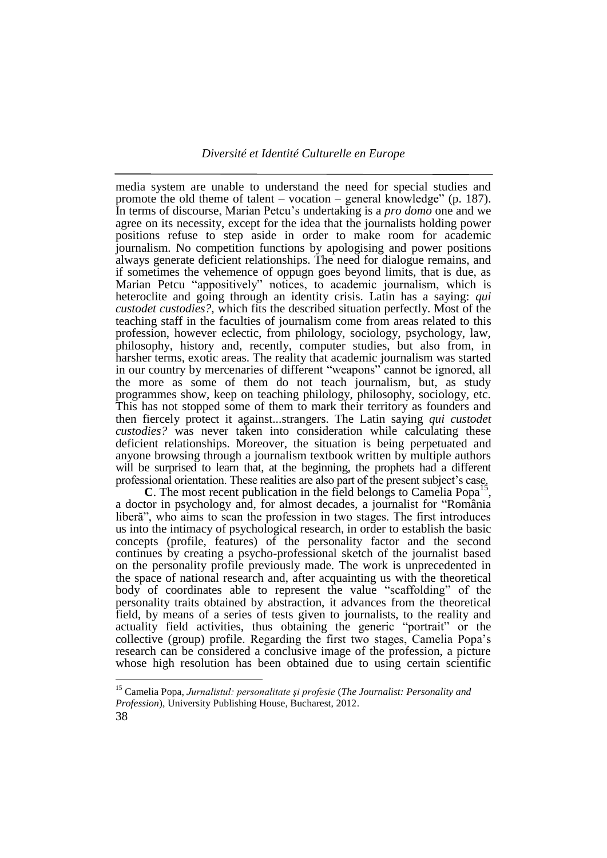media system are unable to understand the need for special studies and promote the old theme of talent – vocation – general knowledge" (p. 187). In terms of discourse, Marian Petcu"s undertaking is a *pro domo* one and we agree on its necessity, except for the idea that the journalists holding power positions refuse to step aside in order to make room for academic journalism. No competition functions by apologising and power positions always generate deficient relationships. The need for dialogue remains, and if sometimes the vehemence of oppugn goes beyond limits, that is due, as Marian Petcu "appositively" notices, to academic journalism, which is heteroclite and going through an identity crisis. Latin has a saying: *qui custodet custodies?*, which fits the described situation perfectly. Most of the teaching staff in the faculties of journalism come from areas related to this profession, however eclectic, from philology, sociology, psychology, law, philosophy, history and, recently, computer studies, but also from, in harsher terms, exotic areas. The reality that academic journalism was started in our country by mercenaries of different "weapons" cannot be ignored, all the more as some of them do not teach journalism, but, as study programmes show, keep on teaching philology, philosophy, sociology, etc. This has not stopped some of them to mark their territory as founders and then fiercely protect it against...strangers. The Latin saying *qui custodet custodies?* was never taken into consideration while calculating these deficient relationships. Moreover, the situation is being perpetuated and anyone browsing through a journalism textbook written by multiple authors will be surprised to learn that, at the beginning, the prophets had a different professional orientation. These realities are also part of the present subject's case.

**C**. The most recent publication in the field belongs to Camelia Popa<sup>15</sup>, a doctor in psychology and, for almost decades, a journalist for "România liberă", who aims to scan the profession in two stages. The first introduces us into the intimacy of psychological research, in order to establish the basic concepts (profile, features) of the personality factor and the second continues by creating a psycho-professional sketch of the journalist based on the personality profile previously made. The work is unprecedented in the space of national research and, after acquainting us with the theoretical body of coordinates able to represent the value "scaffolding" of the personality traits obtained by abstraction, it advances from the theoretical field, by means of a series of tests given to journalists, to the reality and actuality field activities, thus obtaining the generic "portrait" or the collective (group) profile. Regarding the first two stages, Camelia Popa"s research can be considered a conclusive image of the profession, a picture whose high resolution has been obtained due to using certain scientific

<sup>15</sup> Camelia Popa, *Jurnalistul: personalitate şi profesie* (*The Journalist: Personality and Profession*), University Publishing House, Bucharest, 2012.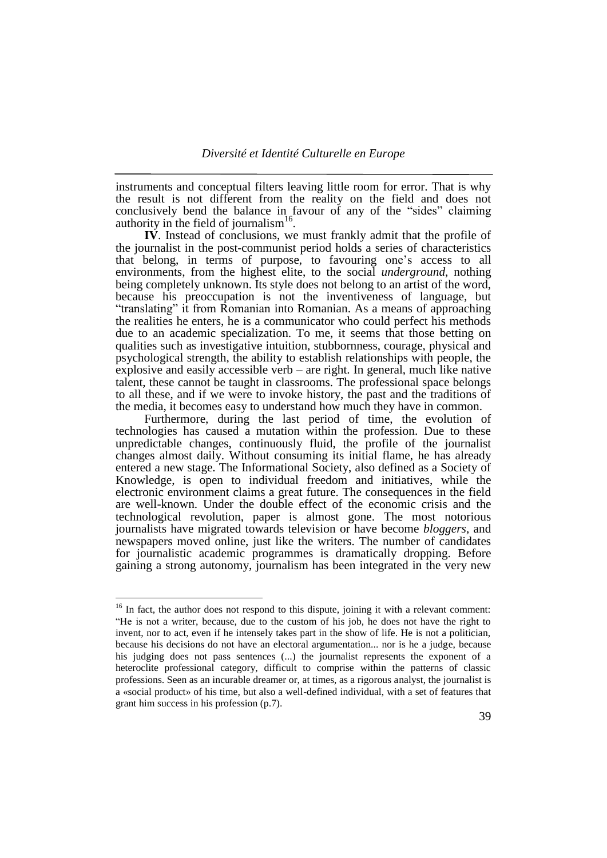instruments and conceptual filters leaving little room for error. That is why the result is not different from the reality on the field and does not conclusively bend the balance in favour of any of the "sides" claiming authority in the field of journalism<sup>16</sup>.

**IV**. Instead of conclusions, we must frankly admit that the profile of the journalist in the post-communist period holds a series of characteristics that belong, in terms of purpose, to favouring one"s access to all environments, from the highest elite, to the social *underground*, nothing being completely unknown. Its style does not belong to an artist of the word, because his preoccupation is not the inventiveness of language, but "translating" it from Romanian into Romanian. As a means of approaching the realities he enters, he is a communicator who could perfect his methods due to an academic specialization. To me, it seems that those betting on qualities such as investigative intuition, stubbornness, courage, physical and psychological strength, the ability to establish relationships with people, the explosive and easily accessible verb – are right. In general, much like native talent, these cannot be taught in classrooms. The professional space belongs to all these, and if we were to invoke history, the past and the traditions of the media, it becomes easy to understand how much they have in common.

Furthermore, during the last period of time, the evolution of technologies has caused a mutation within the profession. Due to these unpredictable changes, continuously fluid, the profile of the journalist changes almost daily. Without consuming its initial flame, he has already entered a new stage. The Informational Society, also defined as a Society of Knowledge, is open to individual freedom and initiatives, while the electronic environment claims a great future. The consequences in the field are well-known. Under the double effect of the economic crisis and the technological revolution, paper is almost gone. The most notorious journalists have migrated towards television or have become *bloggers*, and newspapers moved online, just like the writers. The number of candidates for journalistic academic programmes is dramatically dropping. Before gaining a strong autonomy, journalism has been integrated in the very new

 $16$  In fact, the author does not respond to this dispute, joining it with a relevant comment: "He is not a writer, because, due to the custom of his job, he does not have the right to invent, nor to act, even if he intensely takes part in the show of life. He is not a politician, because his decisions do not have an electoral argumentation... nor is he a judge, because his judging does not pass sentences (...) the journalist represents the exponent of a heteroclite professional category, difficult to comprise within the patterns of classic professions. Seen as an incurable dreamer or, at times, as a rigorous analyst, the journalist is a «social product» of his time, but also a well-defined individual, with a set of features that grant him success in his profession (p.7).